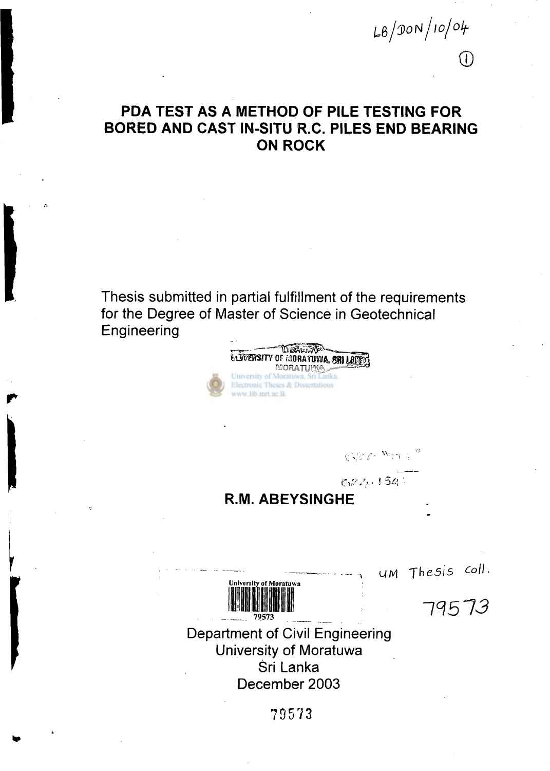# **PDA TEST AS A METHOD OF PILE TESTING FOR BORED AND CAST IN-SITU R.C. PILES END BEARING ON ROCK**

**Thesis submitted in partial fulfillment of the requirements for the Degree of Master of Science in Geotechnical Engineering** 



 $\mathcal{O}\left(\frac{1}{2}\right) \mathcal{O}\left(\frac{N}{2}\right) \left(\frac{N}{2}\right)^{-2}$ 

*wfeoN/io/olf-*

 $(1)$ 

 $622.154$ 

**R.M. ABEYSINGHE** 



**MM** *Thesis colL* 

*11513* 

**Department of Civil Engineering University of Moratuwa Sri Lanka December 2003** 

**79573**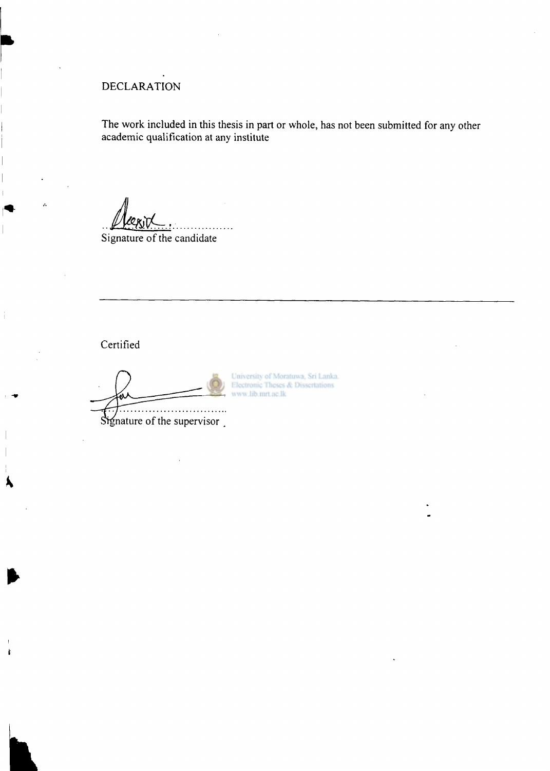# **DECLARATION**

**The work included in this thesis in part or whole, has not been submitted for any other academic qualification at any institute** 

**Signature of the candidate** 

**Certified** 

k

Signature of the supervisor.

University of Moratuwa, Sri Lanka. Electronic Theses & Dissertations www.lib.mrt.ac.lk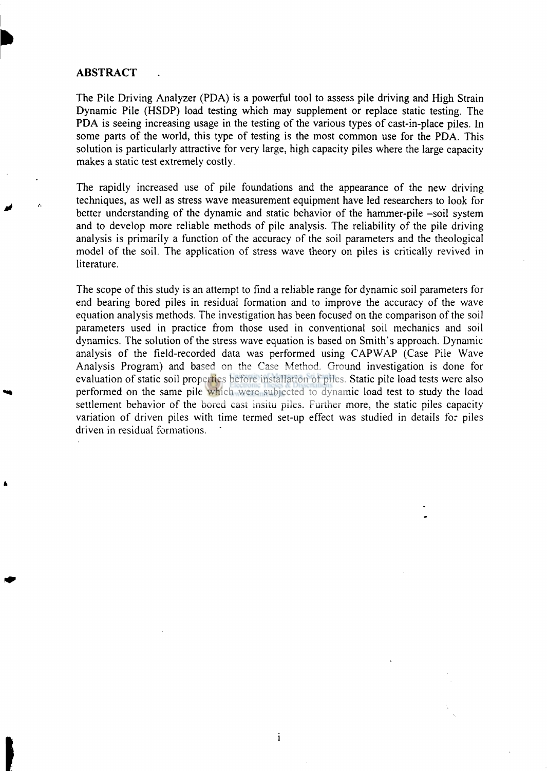#### **ABSTRACT**

The Pile Driving Analyzer (PDA) is a powerful tool to assess pile driving and High Strain Dynamic Pile (HSDP) load testing which may supplement or replace static testing. The PDA is seeing increasing usage in the testing of the various types of cast-in-place piles. In some parts of the world, this type of testing is the most common use for the PDA. This solution is particularly attractive for very large, high capacity piles where the large capacity makes a static test extremely costly.

The rapidly increased use of pile foundations and the appearance of the new driving techniques, as well as stress wave measurement equipment have led researchers to look for better understanding of the dynamic and static behavior of the hammer-pile -soil system and to develop more reliable methods of pile analysis. The reliability of the pile driving analysis is primarily a function of the accuracy of the soil parameters and the theological model of the soil. The application of stress wave theory on piles is critically revived in literature.

The scope of this study is an attempt to find a reliable range for dynamic soil parameters for end bearing bored piles in residual formation and to improve the accuracy of the wave equation analysis methods. The investigation has been focused on the comparison of the soil parameters used in practice from those used in conventional soil mechanics and soil dynamics. The solution of the stress wave equation is based on Smith's approach. Dynamic analysis of the field-recorded data was performed using CAPWAP (Case Pile Wave Analysis Program) and based on the Case Method. Ground investigation is done for evaluation of static soil properties before installation of piles. Static pile load tests were also performed on the same pile which were subjected to dynamic load test to study the load settlement behavior of the bored cast insitu piles. Further more, the static piles capacity variation of driven piles with time termed set-up effect was studied in details for piles driven in residual formations.

 $\mathbf{i}$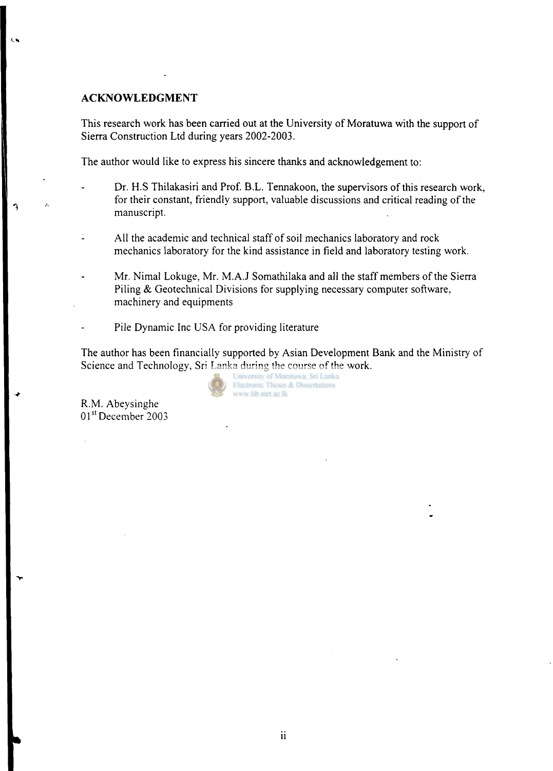## **ACKNOWLEDGMENT**

 $\mathbf{A}$ 

This research work has been carried out at the University of Moratuwa with the support of Sierra Construction Ltd during years 2002-2003.

The author would like to express his sincere thanks and acknowledgement to:

- Dr. H.S Thilakasiri and Prof. B.L. Tennakoon, the supervisors of this research work, for their constant, friendly support, valuable discussions and critical reading of the manuscript.
- $\mathbb{I}$ All the academic and technical staff of soil mechanics laboratory and rock mechanics laboratory for the kind assistance in field and laboratory testing work.
	- Mr. Nimal Lokuge, Mr. M.A.J Somathilaka and all the staff members of the Sierra Piling & Geotechnical Divisions for supplying necessary computer software, machinery and equipments
	- Pile Dynamic Inc USA for providing literature

The author has been financially supported by Asian Development Bank and the Ministry of Science and Technology, Sri Lanka during the course of the work.<br>University of Moraluse, Sri Lanka.

Electronic Theses & Dissertations www.lib.mrt.ac.lk

R.M. Abeysinghe 01<sup>st</sup> December 2003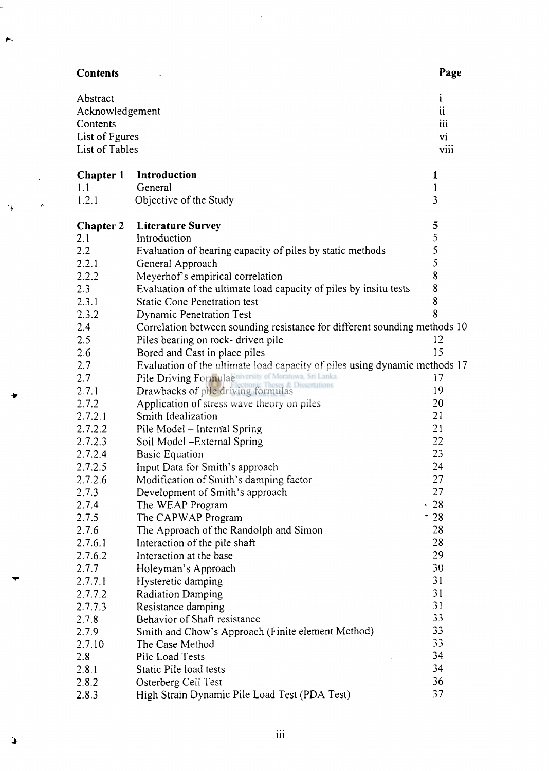| <b>Contents</b>                         |                                                                            | Page                     |
|-----------------------------------------|----------------------------------------------------------------------------|--------------------------|
| Abstract<br>Acknowledgement<br>Contents |                                                                            | $\mathbf{1}$<br>ii<br>ш  |
| List of Fgures<br>List of Tables        |                                                                            | <b>vi</b><br><b>VIII</b> |
| <b>Chapter 1</b>                        | Introduction                                                               | 1                        |
| 1.1                                     | General                                                                    | 1                        |
| 1.2.1                                   | Objective of the Study                                                     | 3                        |
| <b>Chapter 2</b>                        | <b>Literature Survey</b>                                                   | 5                        |
| 2.1                                     | Introduction                                                               | 5                        |
| 2.2                                     | Evaluation of bearing capacity of piles by static methods                  | 5                        |
| 2.2.1                                   | General Approach                                                           | 5                        |
| 2.2.2                                   | Meyerhof's empirical correlation                                           | 8                        |
| 2.3                                     | Evaluation of the ultimate load capacity of piles by insitu tests          | 8                        |
| 2.3.1                                   | <b>Static Cone Penetration test</b>                                        | 8                        |
| 2.3.2                                   | <b>Dynamic Penetration Test</b>                                            | 8                        |
| $2.4^{\circ}$                           | Correlation between sounding resistance for different sounding methods 10  |                          |
| 2.5                                     | Piles bearing on rock-driven pile                                          | 12                       |
| 2.6                                     | Bored and Cast in place piles                                              | 15                       |
| 2.7                                     | Evaluation of the ultimate load capacity of piles using dynamic methods 17 |                          |
| 2.7                                     | Pile Driving Formulae niversity of Moratuwa, Sri Lanka.<br>& Dissertatio   | 17                       |
| 2.7.1                                   | Drawbacks of pile driving formulas                                         | 19                       |
| 2.7.2                                   | Application of stress wave theory on piles                                 | 20                       |
| 2.7.2.1                                 | Smith Idealization                                                         | 21                       |
| 2.7.2.2                                 | Pile Model - Internal Spring                                               | 21                       |
| 2.7.2.3                                 | Soil Model - External Spring                                               | 22                       |
| 2.7.2.4                                 | <b>Basic Equation</b>                                                      | 23                       |
| 2.7.2.5                                 | Input Data for Smith's approach                                            | 24                       |
| 2.7.2.6                                 | Modification of Smith's damping factor                                     | 27                       |
| 2.7.3                                   | Development of Smith's approach                                            | 27                       |
| 2.7.4                                   | The WEAP Program                                                           | .28                      |
| 2.7.5                                   | The CAPWAP Program                                                         | $-28$                    |
| 2.7.6                                   | The Approach of the Randolph and Simon                                     | 28                       |
| 2.7.6.1                                 | Interaction of the pile shaft                                              | 28                       |
| 2.7.6.2                                 | Interaction at the base                                                    | 29                       |
| 2.7.7                                   | Holeyman's Approach                                                        | 30                       |
| 2.7.7.1                                 | Hysteretic damping                                                         | 31                       |
| 2.7.7.2                                 | <b>Radiation Damping</b>                                                   | 31                       |
| 2.7.7.3                                 | Resistance damping                                                         | 31                       |
| 2.7.8                                   | Behavior of Shaft resistance                                               | 33                       |
| 2.7.9                                   | Smith and Chow's Approach (Finite element Method)                          | 33<br>33                 |
| 2.7.10                                  | The Case Method                                                            |                          |
| 2.8                                     | Pile Load Tests                                                            | 34                       |
| 2.8.1                                   | Static Pile load tests                                                     | 34                       |
| 2.8.2                                   | Osterberg Cell Test                                                        | 36                       |
| 2.8.3                                   | High Strain Dynamic Pile Load Test (PDA Test)                              | 37                       |

 $\bar{\mathcal{A}}$ 

 $\hat{\boldsymbol{\beta}}$ 

ż,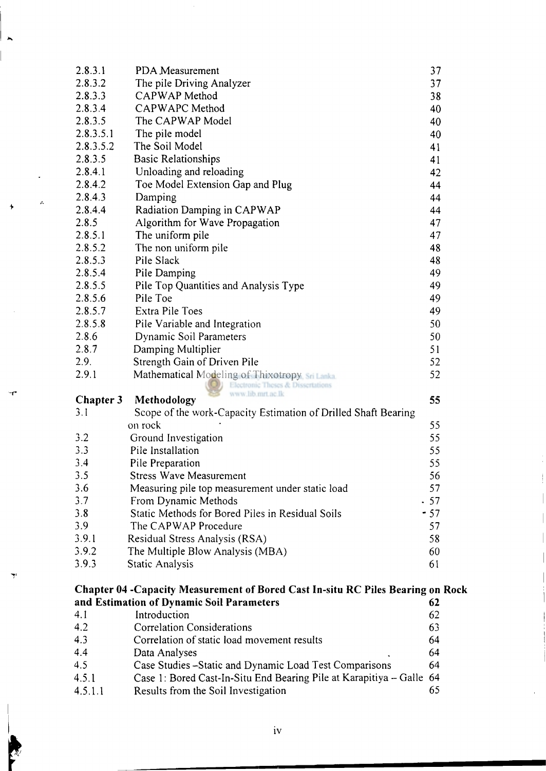| 4.1                                                                                                                                 | Introduction                                                          | 62       |  |  |
|-------------------------------------------------------------------------------------------------------------------------------------|-----------------------------------------------------------------------|----------|--|--|
| Chapter 04 - Capacity Measurement of Bored Cast In-situ RC Piles Bearing on Rock<br>and Estimation of Dynamic Soil Parameters<br>62 |                                                                       |          |  |  |
|                                                                                                                                     |                                                                       |          |  |  |
| 3.9.3                                                                                                                               | <b>Static Analysis</b>                                                | 61       |  |  |
| 3.9.2                                                                                                                               | The Multiple Blow Analysis (MBA)                                      | 60       |  |  |
| 3.9.1                                                                                                                               | Residual Stress Analysis (RSA)                                        | 58       |  |  |
| 3.9                                                                                                                                 | The CAPWAP Procedure                                                  | 57       |  |  |
| 3.8                                                                                                                                 | Static Methods for Bored Piles in Residual Soils                      | $-57$    |  |  |
| 3.7                                                                                                                                 | From Dynamic Methods                                                  | .57      |  |  |
| 3.6                                                                                                                                 | Measuring pile top measurement under static load                      | 56<br>57 |  |  |
| 3.5                                                                                                                                 | <b>Stress Wave Measurement</b>                                        |          |  |  |
| 3.4                                                                                                                                 | Pile Preparation                                                      | 55       |  |  |
| 3.3                                                                                                                                 | Pile Installation                                                     | 55       |  |  |
| 3.2                                                                                                                                 | Ground Investigation                                                  | 55       |  |  |
|                                                                                                                                     | on rock                                                               | 55       |  |  |
| 3.1                                                                                                                                 | Scope of the work-Capacity Estimation of Drilled Shaft Bearing        |          |  |  |
| <b>Chapter 3</b>                                                                                                                    | Electronic Theses & Dissertations<br>www.lib.mrt.ac.lk<br>Methodology | 55       |  |  |
| 2.9.1                                                                                                                               | Mathematical Modeling of Thixotropy sri Lanka                         | 52       |  |  |
| 2.9.                                                                                                                                | Strength Gain of Driven Pile                                          | 52       |  |  |
| 2.8.7                                                                                                                               | Damping Multiplier                                                    | 51       |  |  |
| 2.8.6                                                                                                                               | Dynamic Soil Parameters                                               | 50       |  |  |
| 2.8.5.8                                                                                                                             | Pile Variable and Integration                                         | 50       |  |  |
| 2.8.5.7                                                                                                                             | Extra Pile Toes                                                       | 49       |  |  |
| 2.8.5.6                                                                                                                             | Pile Toe                                                              | 49       |  |  |
| 2.8.5.5                                                                                                                             | Pile Top Quantities and Analysis Type                                 | 49       |  |  |
| 2.8.5.4                                                                                                                             | Pile Damping                                                          | 49       |  |  |
| 2.8.5.3                                                                                                                             | Pile Slack                                                            | 48       |  |  |
| 2.8.5.2                                                                                                                             | The non uniform pile                                                  | 48       |  |  |
| 2.8.5.1                                                                                                                             | The uniform pile                                                      | 47       |  |  |
| 2.8.5                                                                                                                               | Algorithm for Wave Propagation                                        | 47       |  |  |
| 2.8.4.4                                                                                                                             | Radiation Damping in CAPWAP                                           | 44       |  |  |
| 2.8.4.3                                                                                                                             | Damping                                                               | 44       |  |  |
| 2.8.4.2                                                                                                                             | Toe Model Extension Gap and Plug                                      | 44       |  |  |
| 2.8.4.1                                                                                                                             | Unloading and reloading                                               | 42       |  |  |
| 2.8.3.5                                                                                                                             | <b>Basic Relationships</b>                                            | 41       |  |  |
| 2.8.3.5.2                                                                                                                           | The Soil Model                                                        | 41       |  |  |
| 2.8.3.5.1                                                                                                                           | The pile model                                                        | 40       |  |  |
| 2.8.3.5                                                                                                                             | The CAPWAP Model                                                      | 40       |  |  |
| 2.8.3.4                                                                                                                             | CAPWAPC Method                                                        | 38<br>40 |  |  |
| 2.8.3.3                                                                                                                             | The pile Driving Analyzer<br>CAPWAP Method                            | 37       |  |  |
| 2.8.3.2                                                                                                                             |                                                                       |          |  |  |
| 2.8.3.1                                                                                                                             | PDA Measurement                                                       | 37       |  |  |

l,

A

| 4.1     | Introduction                                                         | 62 |
|---------|----------------------------------------------------------------------|----|
| 4.2     | <b>Correlation Considerations</b>                                    | 63 |
| 4.3     | Correlation of static load movement results                          | 64 |
| 4.4     | Data Analyses                                                        | 64 |
| 4.5     | Case Studies - Static and Dynamic Load Test Comparisons              | 64 |
| 4.5.1   | Case 1: Bored Cast-In-Situ End Bearing Pile at Karapitiya - Galle 64 |    |
| 4.5.1.1 | Results from the Soil Investigation                                  |    |

iv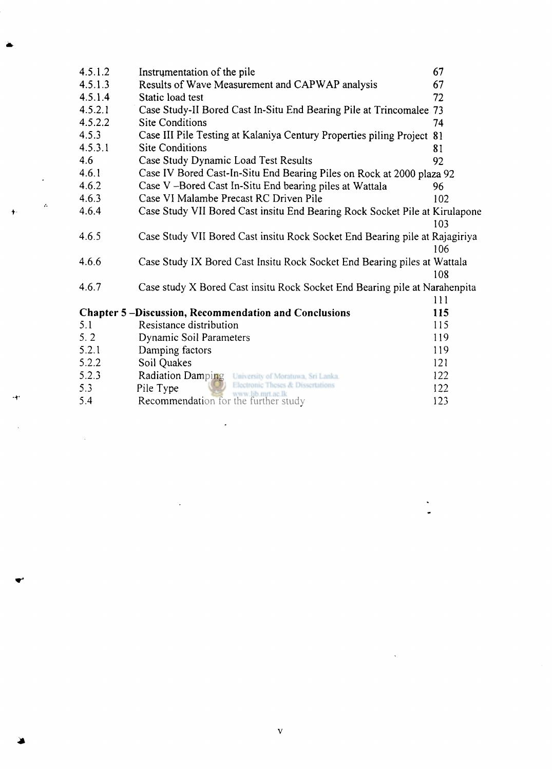| 4.5.1.2 | Instrumentation of the pile                                                 | 67  |
|---------|-----------------------------------------------------------------------------|-----|
| 4.5.1.3 | Results of Wave Measurement and CAPWAP analysis                             | 67  |
| 4.5.1.4 | Static load test                                                            | 72  |
| 4.5.2.1 | Case Study-II Bored Cast In-Situ End Bearing Pile at Trincomalee 73         |     |
| 4.5.2.2 | <b>Site Conditions</b>                                                      | 74  |
| 4.5.3   | Case III Pile Testing at Kalaniya Century Properties piling Project         | 81  |
| 4.5.3.1 | <b>Site Conditions</b>                                                      | 81  |
| 4.6     | Case Study Dynamic Load Test Results                                        | 92  |
| 4.6.1   | Case IV Bored Cast-In-Situ End Bearing Piles on Rock at 2000 plaza 92       |     |
| 4.6.2   | Case V-Bored Cast In-Situ End bearing piles at Wattala                      | 96  |
| 4.6.3   | Case VI Malambe Precast RC Driven Pile                                      | 102 |
| 4.6.4   | Case Study VII Bored Cast insitu End Bearing Rock Socket Pile at Kirulapone |     |
|         |                                                                             | 103 |
| 4.6.5   | Case Study VII Bored Cast insitu Rock Socket End Bearing pile at Rajagiriya |     |
|         |                                                                             | 106 |
| 4.6.6   | Case Study IX Bored Cast Insitu Rock Socket End Bearing piles at Wattala    |     |
|         |                                                                             | 108 |
| 4.6.7   | Case study X Bored Cast insitu Rock Socket End Bearing pile at Narahenpita  |     |
|         |                                                                             | 111 |
|         | <b>Chapter 5-Discussion, Recommendation and Conclusions</b>                 | 115 |
| 5.1     | Resistance distribution                                                     | 115 |
| 5.2     | <b>Dynamic Soil Parameters</b>                                              | 119 |
| 5.2.1   | Damping factors                                                             | 119 |
| 5.2.2   | Soil Quakes                                                                 | 121 |
| 5.2.3   | <b>Radiation Damping</b><br>University of Moratuwa, Sri Lanka.              | 122 |
| 5.3     | Electronic Theses & Dissertations<br>Pile Type                              | 122 |
| 5.4     | Recommendation for the further study                                        | 123 |

 $\mathcal{L}_{\text{max}}$  and  $\mathcal{L}_{\text{max}}$  . The set of  $\mathcal{L}_{\text{max}}$ 

 $\label{eq:2.1} \frac{1}{\sqrt{2}}\int_{\mathbb{R}^3}\frac{1}{\sqrt{2}}\left(\frac{1}{\sqrt{2}}\right)^2\frac{1}{\sqrt{2}}\left(\frac{1}{\sqrt{2}}\right)^2\frac{1}{\sqrt{2}}\left(\frac{1}{\sqrt{2}}\right)^2\frac{1}{\sqrt{2}}\left(\frac{1}{\sqrt{2}}\right)^2.$ 

 $\mathcal{A}$ 

 $\ddot{\phantom{1}}$ 

 $\cdot$ r

 $\label{eq:2.1} \frac{1}{\sqrt{2}}\int_{\mathbb{R}^{2}}\frac{1}{\sqrt{2}}\left(\frac{1}{\sqrt{2}}\right)^{2}dx\leq\frac{1}{2}\int_{\mathbb{R}^{2}}\frac{1}{\sqrt{2}}\left(\frac{1}{\sqrt{2}}\right)^{2}dx$ 

 $\frac{1}{2}$ 

 $\label{eq:2.1} \frac{1}{2} \sum_{i=1}^n \frac{1}{2} \sum_{j=1}^n \frac{1}{2} \sum_{j=1}^n \frac{1}{2} \sum_{j=1}^n \frac{1}{2} \sum_{j=1}^n \frac{1}{2} \sum_{j=1}^n \frac{1}{2} \sum_{j=1}^n \frac{1}{2} \sum_{j=1}^n \frac{1}{2} \sum_{j=1}^n \frac{1}{2} \sum_{j=1}^n \frac{1}{2} \sum_{j=1}^n \frac{1}{2} \sum_{j=1}^n \frac{1}{2} \sum_{j=1}^n \frac{$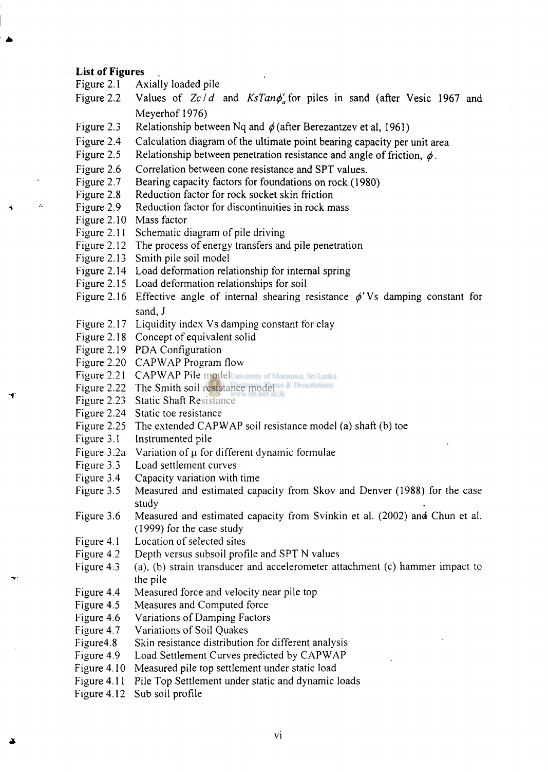#### **List of Figures**

- Figure 2.1 Axially loaded pile
- Figure 2.2 Values of  $Zc/d$  and  $KsTan\phi'_a$  for piles in sand (after Vesic 1967 and Meyerhof 1976)
- Figure 2.3 Relationship between Nq and  $\phi$  (after Berezantzev et al, 1961)
- Figure 2.4 Calculation diagram of the ultimate point bearing capacity per unit area
- Figure 2.5 Relationship between penetration resistance and angle of friction,  $\phi$ .
- Figure 2.6 Correlation between cone resistance and SPT values.
- Figure 2.7 Bearing capacity factors for foundations on rock (1980)
- Figure 2.8 Reduction factor for rock socket skin friction
- Figure 2.9 Reduction factor for discontinuities in rock mass
- Figure 2.10 Mass factor

z.

д

- Figure 2.11 Schematic diagram of pile driving
- Figure 2.12 The process of energy transfers and pile penetration
- Figure 2.13 Smith pile soil model
- Figure 2.14 Load deformation relationship for internal spring
- Figure 2.15 Load deformation relationships for soil
- Figure 2.16 Effective angle of internal shearing resistance  $\phi'Vs$  damping constant for sand, J
- Figure 2.17 Liquidity index Vs damping constant for clay
- Figure 2.18 Concept of equivalent solid
- Figure 2.19 PDA Configuration
- Figure 2.20 CAPWAP Program flow
- Figure 2.21 CAPWAP Pile model University of Moratuwa, Sri Lanka.
- Figure 2.22 The Smith soil resistance model of Dissentations
- Figure 2.23 Static Shaft Resistance
- Figure 2.24 Static toe resistance
- Figure 2.25 The extended CAPWAP soil resistance model (a) shaft (b) toe
- Figure 3.1 Instrumented pile
- Figure 3.2a Variation of  $\mu$  for different dynamic formulae
- Figure 3.3 Load settlement curves
- Figure 3.4 Capacity variation with time
- Figure 3.5 Measured and estimated capacity from Skov and Denver (1988) for the case study
- Figure 3.6 Measured and estimated capacity from Svinkin et al. (2002) and Chun et al. (1999) for the case study
- Figure 4.1 Location of selected sites
- Figure 4.2 Depth versus subsoil profile and SPT N values
- Figure 4.3 (a), (b) strain transducer and accelerometer attachment (c) hammer impact to the pile
- Figure 4.4 Measured force and velocity near pile top
- Figure 4.5 Measures and Computed force
- Figure 4.6 Variations of Damping Factors
- Figure 4.7 Variations of Soil Quakes
- Figure4.8 Skin resistance distribution for different analysis
- Figure 4.9 Load Settlement Curves predicted by CAPWAP
- Figure 4.10 Measured pile top settlement under static load
- Figure 4.11 Pile Top Settlement under static and dynamic loads
- Figure 4.12 Sub soil profile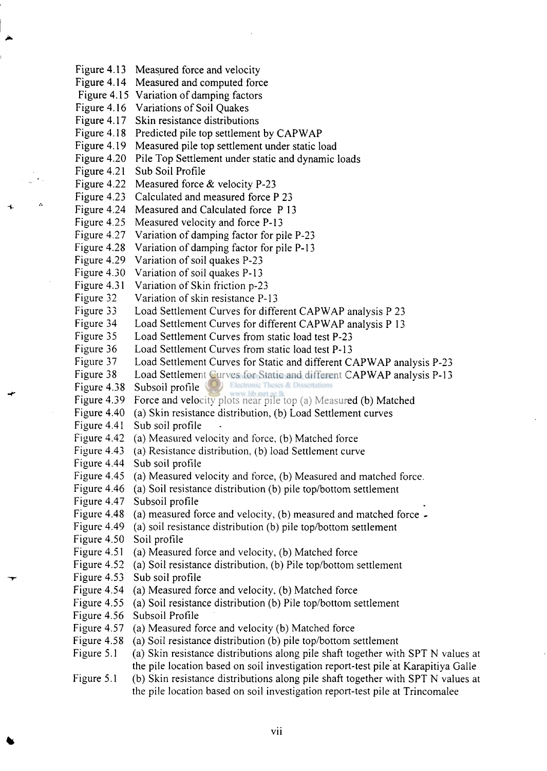Figure 4.13 Measured force and velocity Figure 4.14 Measured and computed force Figure 4.15 Variation of damping factors Figure 4.16 Variations of Soil Quakes Figure 4.17 Skin resistance distributions Figure 4.18 Predicted pile top settlement by CAPWAP Figure 4.19 Measured pile top settlement under static load Figure 4.20 Pile Top Settlement under static and dynamic loads Figure 4.21 Sub Soil Profile Figure 4.22 Measured force & velocity P-23 Figure 4.23 Calculated and measured force P 23 Figure 4.24 Measured and Calculated force P 13 Figure 4.25 Measured velocity and force P-13 Figure 4.27 Variation of damping factor for pile P-23 Figure 4.28 Variation of damping factor for pile P-13 Figure 4.29 Variation of soil quakes P-23 Figure 4.30 Variation of soil quakes P-13 Figure 4.31 Variation of Skin friction p-23 Figure 32 Variation of skin resistance P-13 Figure 33 Load Settlement Curves for different CAPWAP analysis P 23 Figure 34 Load Settlement Curves for different CAPWAP analysis P 13 Figure 35 Load Settlement Curves from static load test P-23 Figure 36 Load Settlement Curves from static load test P-13 Figure 37 Load Settlement Curves for Static and different CAPWAP analysis P-23 Figure 38 Load Settlement Curves for Static and different CAPWAP analysis P-13<br>Figure 4.38 Subsoil profile Subsoil profile (C) Electronic Theses & Dissertations Figure 4.39 Force and velocity plots near pile top (a) Measured (b) Matched Figure 4.40 (a) Skin resistance distribution, (b) Load Settlement curves Figure 4.41 Sub soil profile Figure 4.42 (a) Measured velocity and force, (b) Matched force Figure 4.43 (a) Resistance distribution, (b) load Settlement curve Figure 4.44 Sub soil profile Figure 4.45 (a) Measured velocity and force, (b) Measured and matched force. Figure 4.46 (a) Soil resistance distribution (b) pile top/bottom settlement Figure 4.47 Subsoil profile Figure 4.48 (a) measured force and velocity, (b) measured and matched force - Figure 4.49 (a) soil resistance distribution (b) pile top/bottom settlement Figure 4.50 Soil profile Figure 4.51 (a) Measured force and velocity, (b) Matched force Figure 4.52 (a) Soil resistance distribution, (b) Pile top/bottom settlement Figure 4.53 Sub soil profile Figure 4.54 (a) Measured force and velocity, (b) Matched force Figure 4.55 (a) Soil resistance distribution (b) Pile top/bottom settlement Figure 4.56 Subsoil Profile Figure 4.57 (a) Measured force and velocity (b) Matched force Figure 4.58 (a) Soil resistance distribution (b) pile top/bottom settlement Figure 5.1 (a) Skin resistance distributions along pile shaft together with SPT N values at the pile location based on soil investigation report-test pile at Karapitiya Galle Figure 5.1 (b) Skin resistance distributions along pile shaft together with SPT N values at

the pile location based on soil investigation report-test pile at Trincomalee